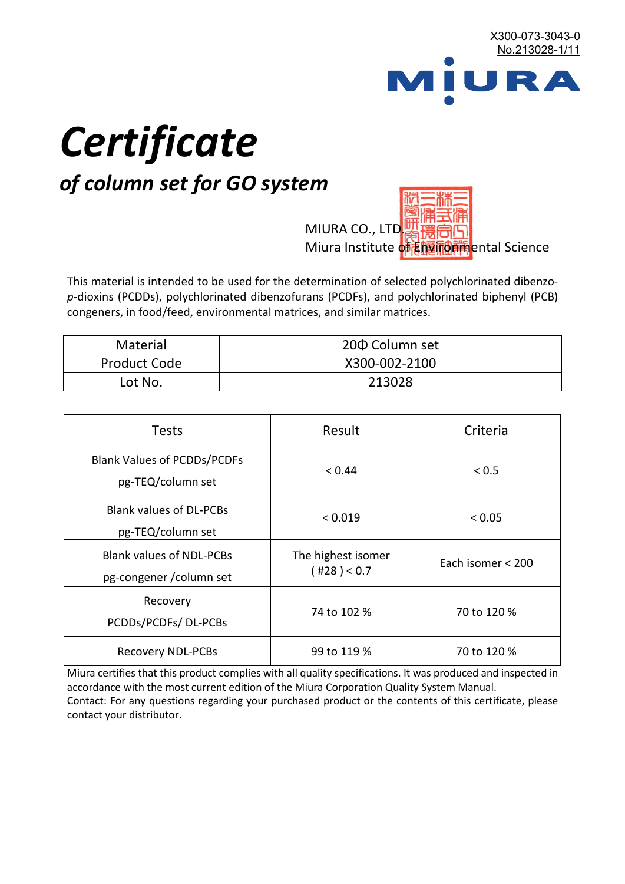

# *Certificate*

## *of column set for GO system*

MIURA CO., LTD. Miura Institute of 正版而解ental Science

This material is intended to be used for the determination of selected polychlorinated dibenzo*p*-dioxins (PCDDs), polychlorinated dibenzofurans (PCDFs), and polychlorinated biphenyl (PCB) congeners, in food/feed, environmental matrices, and similar matrices.

| Material            | 200 Column set |
|---------------------|----------------|
| <b>Product Code</b> | X300-002-2100  |
| Lot No.             | 213028         |

| <b>Tests</b>                                                | Result                            | Criteria          |
|-------------------------------------------------------------|-----------------------------------|-------------------|
| <b>Blank Values of PCDDs/PCDFs</b><br>pg-TEQ/column set     | < 0.44                            | < 0.5             |
| <b>Blank values of DL-PCBs</b><br>pg-TEQ/column set         | < 0.019                           | < 0.05            |
| <b>Blank values of NDL-PCBs</b><br>pg-congener / column set | The highest isomer<br>(428) < 0.7 | Each isomer < 200 |
| Recovery<br>PCDDs/PCDFs/DL-PCBs                             | 74 to 102 %                       | 70 to 120 %       |
| <b>Recovery NDL-PCBs</b>                                    | 99 to 119 %                       | 70 to 120 %       |

Miura certifies that this product complies with all quality specifications. It was produced and inspected in accordance with the most current edition of the Miura Corporation Quality System Manual. Contact: For any questions regarding your purchased product or the contents of this certificate, please contact your distributor.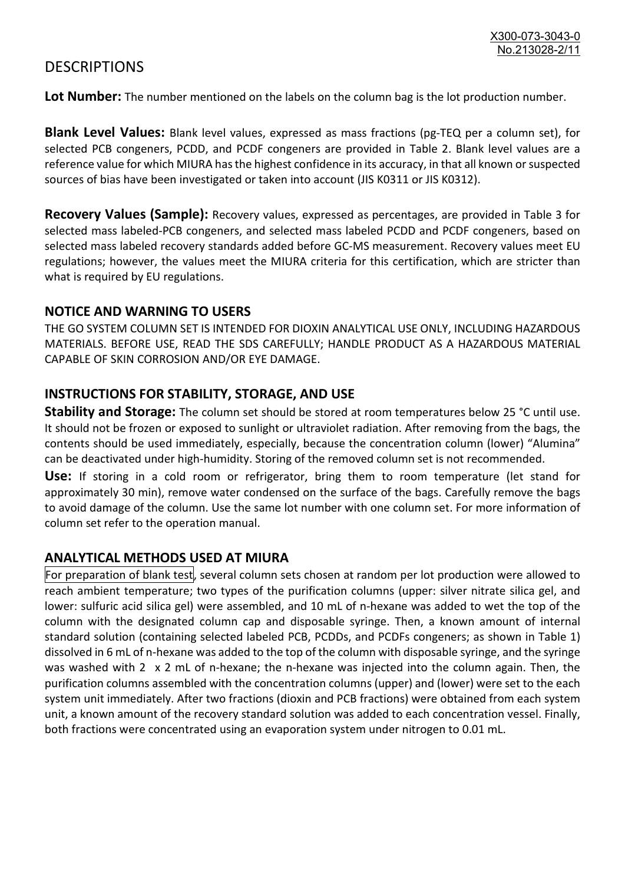### **DESCRIPTIONS**

**Lot Number:** The number mentioned on the labels on the column bag is the lot production number.

**Blank Level Values:** Blank level values, expressed as mass fractions (pg-TEQ per a column set), for selected PCB congeners, PCDD, and PCDF congeners are provided in Table 2. Blank level values are a reference value for which MIURA has the highest confidence in its accuracy, in that all known or suspected sources of bias have been investigated or taken into account (JIS K0311 or JIS K0312).

**Recovery Values (Sample):** Recovery values, expressed as percentages, are provided in Table 3 for selected mass labeled-PCB congeners, and selected mass labeled PCDD and PCDF congeners, based on selected mass labeled recovery standards added before GC-MS measurement. Recovery values meet EU regulations; however, the values meet the MIURA criteria for this certification, which are stricter than what is required by EU regulations.

#### **NOTICE AND WARNING TO USERS**

THE GO SYSTEM COLUMN SET IS INTENDED FOR DIOXIN ANALYTICAL USE ONLY, INCLUDING HAZARDOUS MATERIALS. BEFORE USE, READ THE SDS CAREFULLY; HANDLE PRODUCT AS A HAZARDOUS MATERIAL CAPABLE OF SKIN CORROSION AND/OR EYE DAMAGE.

#### **INSTRUCTIONS FOR STABILITY, STORAGE, AND USE**

**Stability and Storage:** The column set should be stored at room temperatures below 25 °C until use. It should not be frozen or exposed to sunlight or ultraviolet radiation. After removing from the bags, the contents should be used immediately, especially, because the concentration column (lower) "Alumina" can be deactivated under high-humidity. Storing of the removed column set is not recommended.

**Use:** If storing in a cold room or refrigerator, bring them to room temperature (let stand for approximately 30 min), remove water condensed on the surface of the bags. Carefully remove the bags to avoid damage of the column. Use the same lot number with one column set. For more information of column set refer to the operation manual.

#### **ANALYTICAL METHODS USED AT MIURA**

For preparation of blank test, several column sets chosen at random per lot production were allowed to reach ambient temperature; two types of the purification columns (upper: silver nitrate silica gel, and lower: sulfuric acid silica gel) were assembled, and 10 mL of n-hexane was added to wet the top of the column with the designated column cap and disposable syringe. Then, a known amount of internal standard solution (containing selected labeled PCB, PCDDs, and PCDFs congeners; as shown in Table 1) dissolved in 6 mL of n-hexane was added to the top of the column with disposable syringe, and the syringe was washed with 2 x 2 mL of n-hexane; the n-hexane was injected into the column again. Then, the purification columns assembled with the concentration columns (upper) and (lower) were set to the each system unit immediately. After two fractions (dioxin and PCB fractions) were obtained from each system unit, a known amount of the recovery standard solution was added to each concentration vessel. Finally, both fractions were concentrated using an evaporation system under nitrogen to 0.01 mL.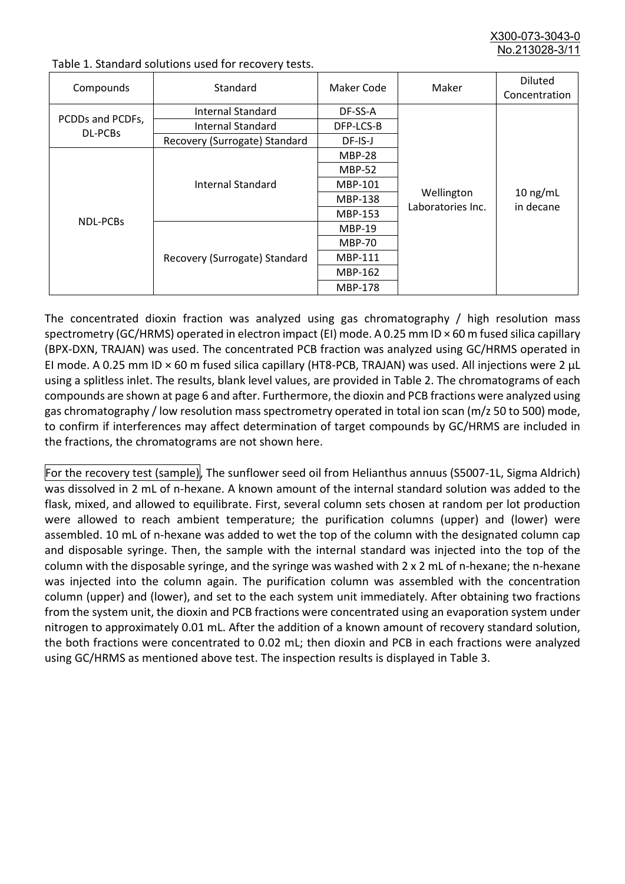X300-073-3043-0 No.213028-3/

| Compounds                          | Standard                      | Maker Code     | Maker                           | <b>Diluted</b><br>Concentration |
|------------------------------------|-------------------------------|----------------|---------------------------------|---------------------------------|
|                                    | Internal Standard             | DF-SS-A        |                                 | $10$ ng/mL<br>in decane         |
| PCDDs and PCDFs,<br><b>DL-PCBs</b> | <b>Internal Standard</b>      | DFP-LCS-B      |                                 |                                 |
|                                    | Recovery (Surrogate) Standard | DF-IS-J        | Wellington<br>Laboratories Inc. |                                 |
| <b>NDL-PCBs</b>                    | Internal Standard             | <b>MBP-28</b>  |                                 |                                 |
|                                    |                               | <b>MBP-52</b>  |                                 |                                 |
|                                    |                               | MBP-101        |                                 |                                 |
|                                    |                               | <b>MBP-138</b> |                                 |                                 |
|                                    |                               | MBP-153        |                                 |                                 |
|                                    | Recovery (Surrogate) Standard | <b>MBP-19</b>  |                                 |                                 |
|                                    |                               | <b>MBP-70</b>  |                                 |                                 |
|                                    |                               | <b>MBP-111</b> |                                 |                                 |
|                                    |                               | MBP-162        |                                 |                                 |
|                                    |                               | <b>MBP-178</b> |                                 |                                 |

Table 1. Standard solutions used for recovery tests.

The concentrated dioxin fraction was analyzed using gas chromatography / high resolution mass spectrometry (GC/HRMS) operated in electron impact (EI) mode. A 0.25 mm ID × 60 m fused silica capillary (BPX-DXN, TRAJAN) was used. The concentrated PCB fraction was analyzed using GC/HRMS operated in EI mode. A 0.25 mm ID × 60 m fused silica capillary (HT8-PCB, TRAJAN) was used. All injections were 2 μL using a splitless inlet. The results, blank level values, are provided in Table 2. The chromatograms of each compounds are shown at page 6 and after. Furthermore, the dioxin and PCB fractions were analyzed using gas chromatography / low resolution mass spectrometry operated in total ion scan (m/z 50 to 500) mode, to confirm if interferences may affect determination of target compounds by GC/HRMS are included in the fractions, the chromatograms are not shown here.

For the recovery test (sample), The sunflower seed oil from Helianthus annuus (S5007-1L, Sigma Aldrich) was dissolved in 2 mL of n-hexane. A known amount of the internal standard solution was added to the flask, mixed, and allowed to equilibrate. First, several column sets chosen at random per lot production were allowed to reach ambient temperature; the purification columns (upper) and (lower) were assembled. 10 mL of n-hexane was added to wet the top of the column with the designated column cap and disposable syringe. Then, the sample with the internal standard was injected into the top of the column with the disposable syringe, and the syringe was washed with 2 x 2 mL of n-hexane; the n-hexane was injected into the column again. The purification column was assembled with the concentration column (upper) and (lower), and set to the each system unit immediately. After obtaining two fractions from the system unit, the dioxin and PCB fractions were concentrated using an evaporation system under nitrogen to approximately 0.01 mL. After the addition of a known amount of recovery standard solution, the both fractions were concentrated to 0.02 mL; then dioxin and PCB in each fractions were analyzed using GC/HRMS as mentioned above test. The inspection results is displayed in Table 3.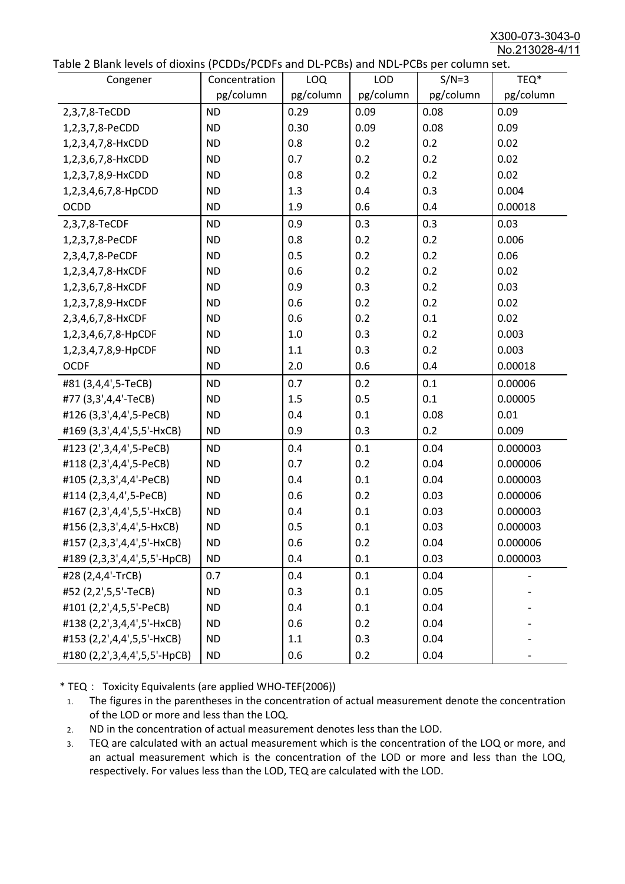X300-073-3043-0 No.213028-4/11

|  |  | Table 2 Blank levels of dioxins (PCDDs/PCDFs and DL-PCBs) and NDL-PCBs per column set. |
|--|--|----------------------------------------------------------------------------------------|
|--|--|----------------------------------------------------------------------------------------|

| abic 2 Diarik icveis of dioxins (I CDD3/TCDTs and DET CD3/ and NDET CD3 pcr column sett. |               |           |            |           |           |
|------------------------------------------------------------------------------------------|---------------|-----------|------------|-----------|-----------|
| Congener                                                                                 | Concentration | LOQ       | <b>LOD</b> | $S/N=3$   | TEQ*      |
|                                                                                          | pg/column     | pg/column | pg/column  | pg/column | pg/column |
| 2,3,7,8-TeCDD                                                                            | <b>ND</b>     | 0.29      | 0.09       | 0.08      | 0.09      |
| 1,2,3,7,8-PeCDD                                                                          | <b>ND</b>     | 0.30      | 0.09       | 0.08      | 0.09      |
| 1,2,3,4,7,8-HxCDD                                                                        | <b>ND</b>     | 0.8       | 0.2        | 0.2       | 0.02      |
| 1,2,3,6,7,8-HxCDD                                                                        | <b>ND</b>     | 0.7       | 0.2        | 0.2       | 0.02      |
| 1,2,3,7,8,9-HxCDD                                                                        | <b>ND</b>     | 0.8       | 0.2        | 0.2       | 0.02      |
| 1,2,3,4,6,7,8-HpCDD                                                                      | <b>ND</b>     | 1.3       | 0.4        | 0.3       | 0.004     |
| <b>OCDD</b>                                                                              | <b>ND</b>     | 1.9       | 0.6        | 0.4       | 0.00018   |
| 2,3,7,8-TeCDF                                                                            | <b>ND</b>     | 0.9       | 0.3        | 0.3       | 0.03      |
| 1,2,3,7,8-PeCDF                                                                          | <b>ND</b>     | 0.8       | 0.2        | 0.2       | 0.006     |
| 2,3,4,7,8-PeCDF                                                                          | <b>ND</b>     | 0.5       | 0.2        | 0.2       | 0.06      |
| 1,2,3,4,7,8-HxCDF                                                                        | <b>ND</b>     | 0.6       | 0.2        | 0.2       | 0.02      |
| 1,2,3,6,7,8-HxCDF                                                                        | <b>ND</b>     | 0.9       | 0.3        | 0.2       | 0.03      |
| 1,2,3,7,8,9-HxCDF                                                                        | <b>ND</b>     | 0.6       | 0.2        | 0.2       | 0.02      |
| 2,3,4,6,7,8-HxCDF                                                                        | <b>ND</b>     | 0.6       | 0.2        | 0.1       | 0.02      |
| 1,2,3,4,6,7,8-HpCDF                                                                      | <b>ND</b>     | 1.0       | 0.3        | 0.2       | 0.003     |
| 1,2,3,4,7,8,9-HpCDF                                                                      | <b>ND</b>     | 1.1       | 0.3        | 0.2       | 0.003     |
| <b>OCDF</b>                                                                              | <b>ND</b>     | 2.0       | 0.6        | 0.4       | 0.00018   |
| #81 (3,4,4',5-TeCB)                                                                      | <b>ND</b>     | 0.7       | 0.2        | 0.1       | 0.00006   |
| #77 (3,3',4,4'-TeCB)                                                                     | <b>ND</b>     | 1.5       | 0.5        | 0.1       | 0.00005   |
| #126 (3,3',4,4',5-PeCB)                                                                  | <b>ND</b>     | 0.4       | 0.1        | 0.08      | 0.01      |
| #169 (3,3',4,4',5,5'-HxCB)                                                               | <b>ND</b>     | 0.9       | 0.3        | 0.2       | 0.009     |
| #123 (2',3,4,4',5-PeCB)                                                                  | <b>ND</b>     | 0.4       | 0.1        | 0.04      | 0.000003  |
| #118 (2,3',4,4',5-PeCB)                                                                  | <b>ND</b>     | 0.7       | 0.2        | 0.04      | 0.000006  |
| #105 (2,3,3',4,4'-PeCB)                                                                  | <b>ND</b>     | 0.4       | 0.1        | 0.04      | 0.000003  |
| #114 (2,3,4,4',5-PeCB)                                                                   | <b>ND</b>     | 0.6       | 0.2        | 0.03      | 0.000006  |
| #167 (2,3',4,4',5,5'-HxCB)                                                               | <b>ND</b>     | 0.4       | 0.1        | 0.03      | 0.000003  |
| #156 (2,3,3',4,4',5-HxCB)                                                                | <b>ND</b>     | 0.5       | 0.1        | 0.03      | 0.000003  |
| #157 (2,3,3',4,4',5'-HxCB)                                                               | <b>ND</b>     | 0.6       | 0.2        | 0.04      | 0.000006  |
| #189 (2,3,3',4,4',5,5'-HpCB)                                                             | <b>ND</b>     | 0.4       | 0.1        | 0.03      | 0.000003  |
| #28 (2,4,4'-TrCB)                                                                        | 0.7           | 0.4       | 0.1        | 0.04      |           |
| #52 (2,2',5,5'-TeCB)                                                                     | <b>ND</b>     | 0.3       | 0.1        | 0.05      |           |
| #101 (2,2',4,5,5'-PeCB)                                                                  | <b>ND</b>     | 0.4       | 0.1        | 0.04      |           |
| #138 (2,2',3,4,4',5'-HxCB)                                                               | <b>ND</b>     | 0.6       | 0.2        | 0.04      |           |
| #153 (2,2',4,4',5,5'-HxCB)                                                               | <b>ND</b>     | 1.1       | 0.3        | 0.04      |           |
| #180 (2,2',3,4,4',5,5'-HpCB)                                                             | <b>ND</b>     | 0.6       | 0.2        | 0.04      |           |

\* TEQ: Toxicity Equivalents (are applied WHO-TEF(2006))

- 1. The figures in the parentheses in the concentration of actual measurement denote the concentration of the LOD or more and less than the LOQ.
- 2. ND in the concentration of actual measurement denotes less than the LOD.
- 3. TEQ are calculated with an actual measurement which is the concentration of the LOQ or more, and an actual measurement which is the concentration of the LOD or more and less than the LOQ, respectively. For values less than the LOD, TEQ are calculated with the LOD.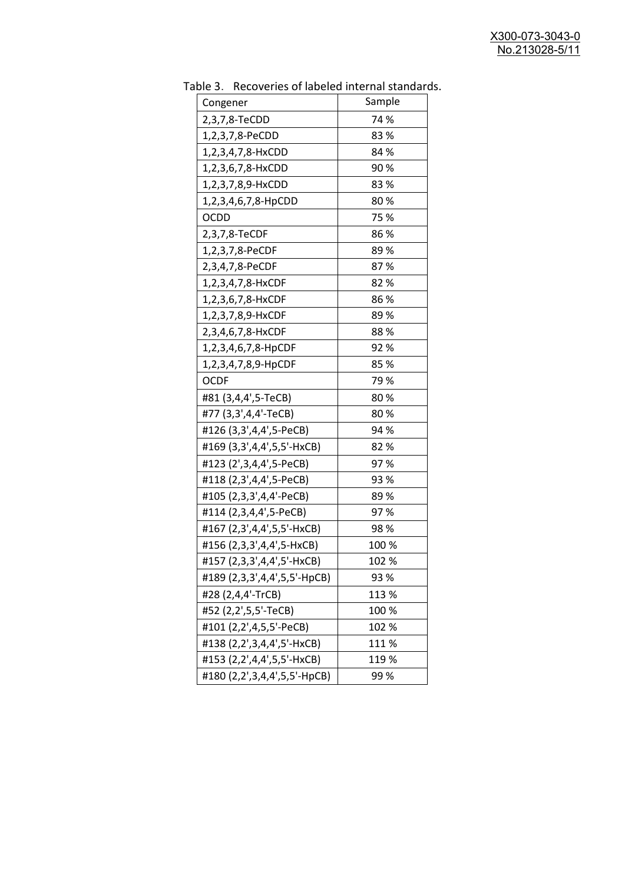| uwic J.<br>Recoveries of fabeled internal standar<br>Congener | Sample |
|---------------------------------------------------------------|--------|
| 2,3,7,8-TeCDD                                                 | 74 %   |
| 1,2,3,7,8-PeCDD                                               | 83%    |
| 1,2,3,4,7,8-HxCDD                                             | 84 %   |
| 1,2,3,6,7,8-HxCDD                                             | 90%    |
| 1,2,3,7,8,9-HxCDD                                             | 83%    |
| 1,2,3,4,6,7,8-HpCDD                                           | 80%    |
| <b>OCDD</b>                                                   | 75 %   |
| 2,3,7,8-TeCDF                                                 | 86 %   |
| 1,2,3,7,8-PeCDF                                               | 89%    |
| 2,3,4,7,8-PeCDF                                               | 87%    |
| 1,2,3,4,7,8-HxCDF                                             | 82%    |
| 1,2,3,6,7,8-HxCDF                                             | 86%    |
| 1,2,3,7,8,9-HxCDF                                             | 89%    |
| 2,3,4,6,7,8-HxCDF                                             | 88%    |
| 1,2,3,4,6,7,8-HpCDF                                           | 92%    |
| 1,2,3,4,7,8,9-HpCDF                                           | 85 %   |
| <b>OCDF</b>                                                   | 79%    |
| #81 (3,4,4',5-TeCB)                                           | 80%    |
| #77 (3,3',4,4'-TeCB)                                          | 80%    |
| #126 (3,3',4,4',5-PeCB)                                       | 94 %   |
| #169 (3,3',4,4',5,5'-HxCB)                                    | 82%    |
| #123 (2',3,4,4',5-PeCB)                                       | 97%    |
| #118 (2,3',4,4',5-PeCB)                                       | 93 %   |
| #105 (2,3,3',4,4'-PeCB)                                       | 89%    |
| #114 (2,3,4,4',5-PeCB)                                        | 97%    |
| #167 (2,3',4,4',5,5'-HxCB)                                    | 98%    |
| #156 (2,3,3',4,4',5-HxCB)                                     | 100 %  |
| #157 (2,3,3',4,4',5'-HxCB)                                    | 102 %  |
| #189 (2,3,3',4,4',5,5'-HpCB)                                  | 93 %   |
| #28 (2,4,4'-TrCB)                                             | 113 %  |
| #52 (2,2',5,5'-TeCB)                                          | 100 %  |
| #101 (2,2',4,5,5'-PeCB)                                       | 102 %  |
| #138 (2,2',3,4,4',5'-HxCB)                                    | 111%   |
| #153 (2,2',4,4',5,5'-HxCB)                                    | 119 %  |
| #180 (2,2',3,4,4',5,5'-HpCB)                                  | 99%    |

Table 3. Recoveries of labeled internal standards.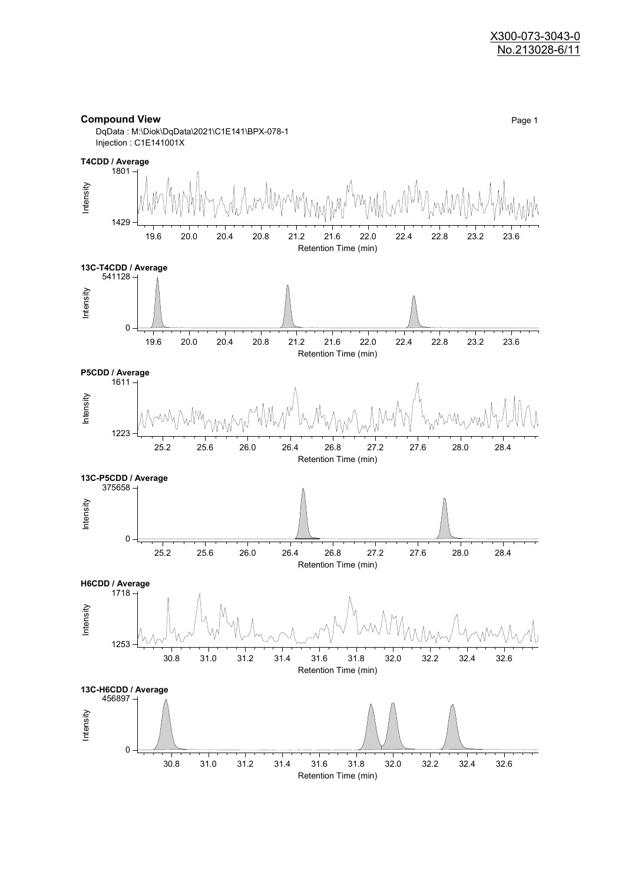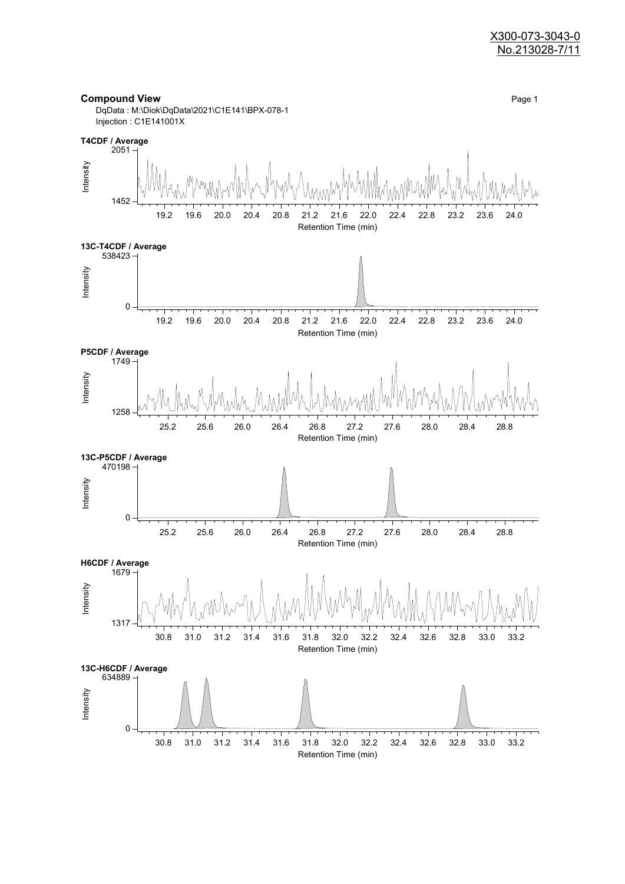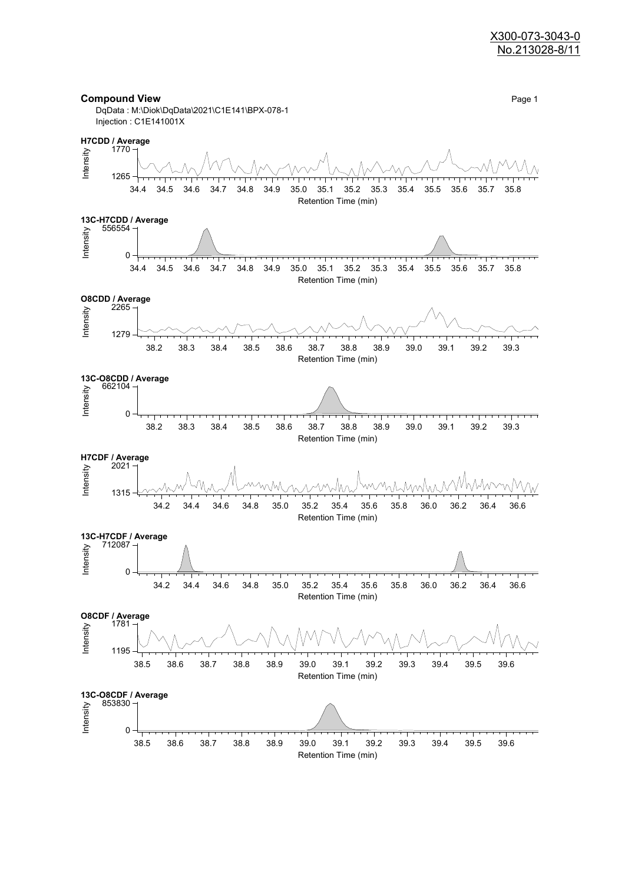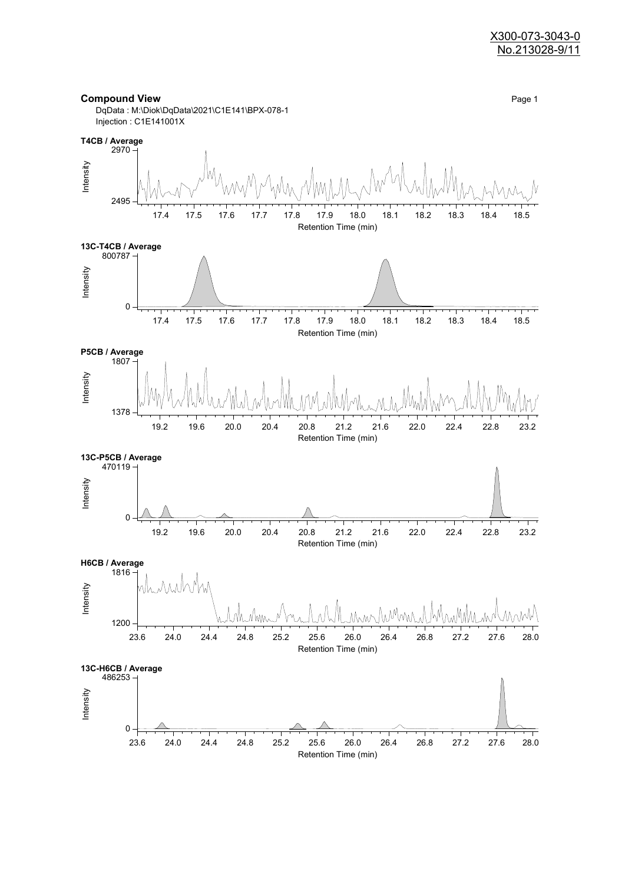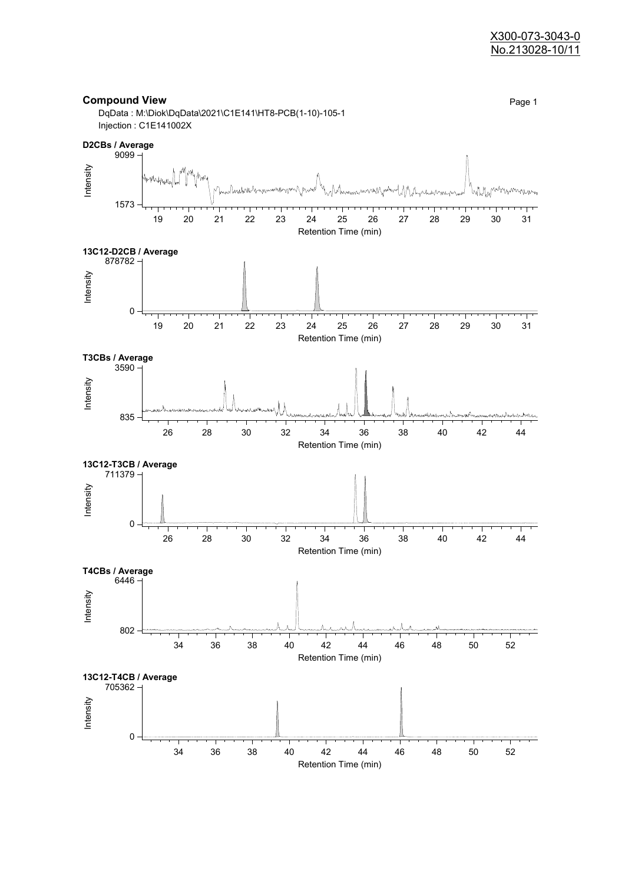